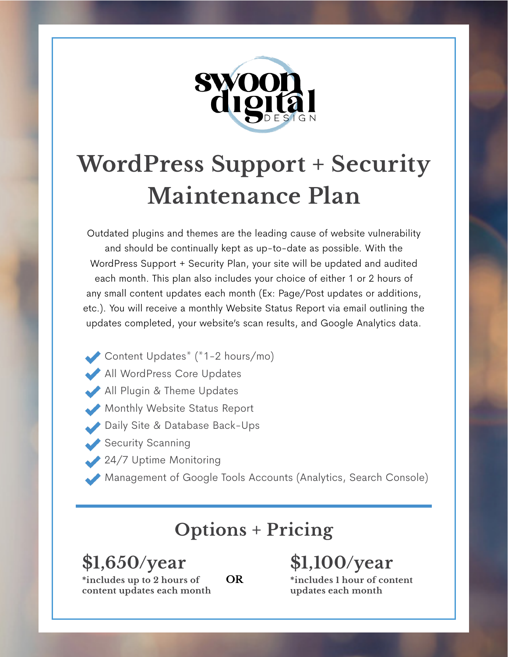

## **WordPress Support + Security Maintenance Plan**

Outdated plugins and themes are the leading cause of website vulnerability and should be continually kept as up-to-date as possible. With the WordPress Support + Security Plan, your site will be updated and audited each month. This plan also includes your choice of either 1 or 2 hours of any small content updates each month (Ex: Page/Post updates or additions, etc.). You will receive a monthly Website Status Report via email outlining the updates completed, your website's scan results, and Google Analytics data.

- Content Updates<sup>\*</sup>  $(*1-2 \text{ hours}/\text{mo})$
- All WordPress Core Updates
- All Plugin & Theme Updates
- Monthly Website Status Report
- Daily Site & Database Back-Ups
- Security Scanning
- 24/7 Uptime Monitoring
- Management of Google Tools Accounts (Analytics, Search Console)

## **Options + Pricing**

**OR**

**\$1,650/year \*includes up to 2 hours of content updates each month** **\$1,100/year** 

**\*includes 1 hour of content updates each month**